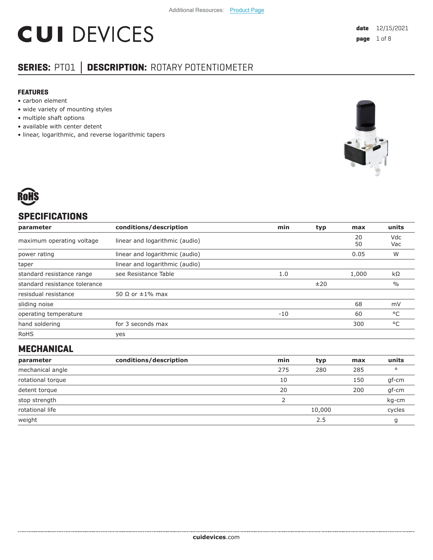# **CUI DEVICES**

### **SERIES:** PT01 **│ DESCRIPTION:** ROTARY POTENTIOMETER

#### **FEATURES**

- carbon element
- wide variety of mounting styles
- multiple shaft options
- available with center detent
- linear, logarithmic, and reverse logarithmic tapers



#### **SPECIFICATIONS**

| parameter                     | conditions/description         | min   | typ | max           | units      |
|-------------------------------|--------------------------------|-------|-----|---------------|------------|
| maximum operating voltage     | linear and logarithmic (audio) |       |     | 20<br>50      | Vdc<br>Vac |
| power rating                  | linear and logarithmic (audio) |       |     | 0.05          | W          |
| taper                         | linear and logarithmic (audio) |       |     |               |            |
| standard resistance range     | see Resistance Table           | 1.0   |     | 1,000         | $k\Omega$  |
| standard resistance tolerance |                                | ±20   |     | $\frac{0}{0}$ |            |
| resisdual resistance          | 50 $\Omega$ or $\pm 1\%$ max   |       |     |               |            |
| sliding noise                 |                                |       |     | 68            | mV         |
| operating temperature         |                                | $-10$ |     | 60            | °C         |
| hand soldering                | for 3 seconds max              |       |     | 300           | °C         |
| <b>RoHS</b>                   | yes                            |       |     |               |            |

#### **MECHANICAL**

| parameter         | conditions/description | min | typ    | max | units   |
|-------------------|------------------------|-----|--------|-----|---------|
| mechanical angle  |                        | 275 | 280    | 285 | $\circ$ |
| rotational torque |                        | 10  |        | 150 | gf-cm   |
| detent torque     |                        | 20  |        | 200 | gf-cm   |
| stop strength     |                        |     |        |     | kg-cm   |
| rotational life   |                        |     | 10,000 |     | cycles  |
| weight            |                        |     | 2.5    |     |         |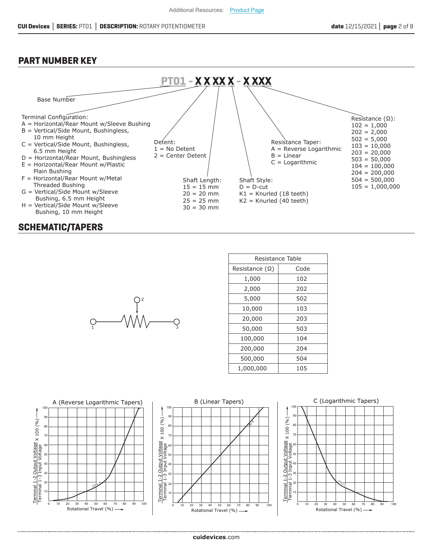#### **PART NUMBER KEY**



#### **SCHEMATIC/TAPERS**



| Resistance Table      |      |  |  |  |  |  |
|-----------------------|------|--|--|--|--|--|
| Resistance $(\Omega)$ | Code |  |  |  |  |  |
| 1,000                 | 102  |  |  |  |  |  |
| 2,000                 | 202  |  |  |  |  |  |
| 5,000                 | 502  |  |  |  |  |  |
| 10,000                | 103  |  |  |  |  |  |
| 20,000                | 203  |  |  |  |  |  |
| 50,000                | 503  |  |  |  |  |  |
| 100,000               | 104  |  |  |  |  |  |
| 200,000               | 204  |  |  |  |  |  |
| 500,000               | 504  |  |  |  |  |  |
| 1,000,000             | 105  |  |  |  |  |  |

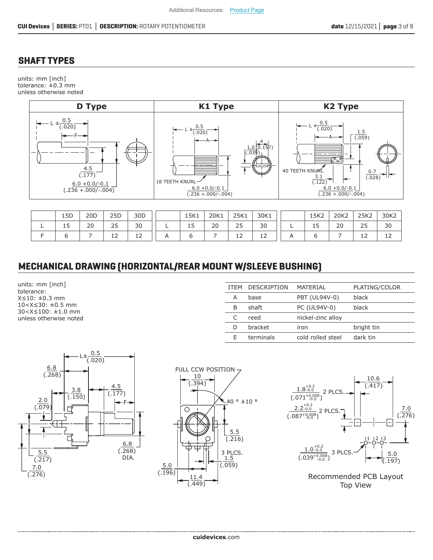#### **SHAFT TYPES**

units: mm [inch] tolerance: ±0.3 mm unless otherwise noted



|   | 15D                           | 20 <sub>D</sub> | 25 <sub>D</sub>       | 30 <sub>D</sub>                |   | 15K1    | 20K1 | 25K1                            | 30K1                           |   | 15K2    | 20K2 | 25K2            | 30K2                           |
|---|-------------------------------|-----------------|-----------------------|--------------------------------|---|---------|------|---------------------------------|--------------------------------|---|---------|------|-----------------|--------------------------------|
| - | $\overline{\phantom{0}}$<br>ᅩ | 20              | $\overline{a}$<br>ر ے | 30                             | - | -<br>15 | 20   | $\overline{\phantom{m}}$<br>ں ے | 30                             | - | -<br>⊥⊃ | 20   | $\sim$ $-$<br>ت | 30                             |
|   |                               |                 | ᆠ                     | $\overline{\phantom{a}}$<br>-- |   |         |      | $\overline{\phantom{0}}$<br>ᆠ   | $\overline{\phantom{a}}$<br>-- |   |         |      | --              | $\overline{\phantom{a}}$<br>ᅩᅩ |

#### **MECHANICAL DRAWING (HORIZONTAL/REAR MOUNT W/SLEEVE BUSHING)**

units: mm [inch] tolerance: X≤10: ±0.3 mm 10<X≤30: ±0.5 mm 30<X≤100: ±1.0 mm unless otherwise noted

| <b>ITFM</b> | <b>DESCRIPTION</b> | MATERIAL          | PLATING/COLOR |
|-------------|--------------------|-------------------|---------------|
| А           | hase               | PBT (UL94V-0)     | black         |
| в           | shaft              | PC (UL94V-0)      | black         |
|             | reed               | nickel-zinc alloy |               |
|             | bracket            | iron              | bright tin    |
| F           | terminals          | cold rolled steel | dark tin      |







Top View

**cui[devices](https://www.cuidevices.com/track?actionLabel=Datasheet-ClickThrough-HomePage&label=PT01.pdf&path=/)**.com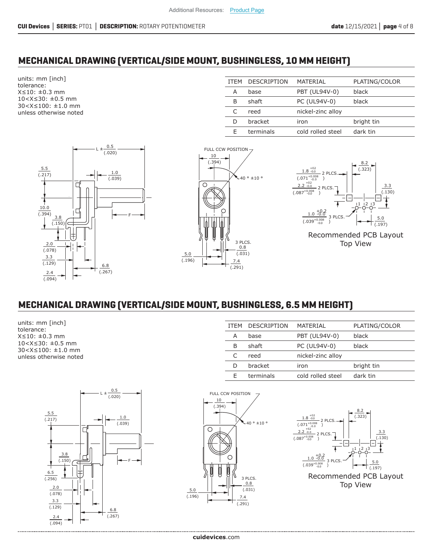#### **MECHANICAL DRAWING (VERTICAL/SIDE MOUNT, BUSHINGLESS, 10 MM HEIGHT)**

units: mm [inch] tolerance: X≤10: ±0.3 mm 10<X≤30: ±0.5 mm 30<X≤100: ±1.0 mm unless otherwise noted









Recommended PCB Layout Top View

#### **MECHANICAL DRAWING (VERTICAL/SIDE MOUNT, BUSHINGLESS, 6.5 MM HEIGHT)**

units: mm [inch] tolerance: X≤10: ±0.3 mm 10<X≤30: ±0.5 mm 30<X≤100: ±1.0 mm unless otherwise noted

| <b>ITFM</b> | <b>DESCRIPTION</b> | MATERIAL          | PLATING/COLOR |
|-------------|--------------------|-------------------|---------------|
| А           | base               | PBT (UL94V-0)     | black         |
| в           | shaft              | PC (UL94V-0)      | black         |
| C           | reed               | nickel-zinc alloy |               |
| D           | bracket            | iron              | bright tin    |
| F           | terminals          | cold rolled steel | dark tin      |







Top View

**cui[devices](https://www.cuidevices.com/track?actionLabel=Datasheet-ClickThrough-HomePage&label=PT01.pdf&path=/)**.com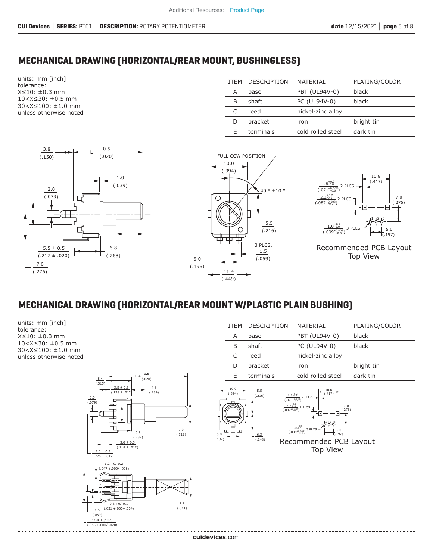#### **MECHANICAL DRAWING (HORIZONTAL/REAR MOUNT, BUSHINGLESS)**

units: mm [inch] tolerance: X≤10: ±0.3 mm 10<X≤30: ±0.5 mm 30<X≤100: ±1.0 mm unless otherwise noted

| <b>ITFM</b> | <b>DESCRIPTION</b> | MATERIAL          | PLATING/COLOR |
|-------------|--------------------|-------------------|---------------|
| Α           | base               | PBT (UL94V-0)     | black         |
| B           | shaft              | PC (UL94V-0)      | black         |
| C           | reed               | nickel-zinc alloy |               |
| D           | bracket            | iron              | bright tin    |
|             | terminals          | cold rolled steel | dark tin      |
|             |                    |                   |               |







Recommended PCB Layout Top View

#### **MECHANICAL DRAWING (HORIZONTAL/REAR MOUNT W/PLASTIC PLAIN BUSHING)**

units: mm [inch] tolerance: X≤10: ±0.3 mm 10<X≤30: ±0.5 mm 30<X≤100: ±1.0 mm unless otherwise noted



| <b>ITFM</b> | <b>DESCRIPTION</b> | MATERIAL          | PLATING/COLOR |
|-------------|--------------------|-------------------|---------------|
| Α           | base               | PBT (UL94V-0)     | black         |
| в           | shaft              | PC (UL94V-0)      | black         |
| C           | reed               | nickel-zinc alloy |               |
| D           | bracket            | iron              | bright tin    |
| F           | terminals          | cold rolled steel | dark tin      |
|             |                    |                   |               |





3 PLCS.  $\frac{5.0}{(.197)}$  $\frac{1.0_{-0.0}^{+0.2}}{(0.039_{-0.00}^{+0.008})}$ Recommended PCB Layout Top View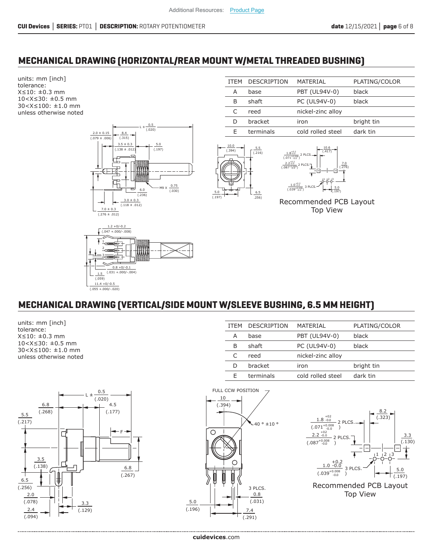5.0  $(0.197)$ 

#### **MECHANICAL DRAWING (HORIZONTAL/REAR MOUNT W/METAL THREADED BUSHING)**

units: mm [inch] tolerance: X≤10: ±0.3 mm 10<X≤30: ±0.5 mm 30<X≤100: ±1.0 mm unless otherwise noted



| Α             | base      | PBT (UL94V-0)     | black      |
|---------------|-----------|-------------------|------------|
| В             | shaft     | PC (UL94V-0)      | black      |
| C             | reed      | nickel-zinc alloy |            |
| D             | bracket   | iron              | bright tin |
| F             | terminals | cold rolled steel | dark tin   |
| 10.0<br>(394) |           | 10.6              |            |

ITEM DESCRIPTION MATERIAL PLATING/COLOR



ITEM DESCRIPTION MATERIAL PLATING/COLOR

A base PBT (UL94V-0) black B shaft PC (UL94V-0) black

D bracket iron bright tin

C reed nickel-zinc alloy

 $(0.216)$ 

6.5 .256)

Recommended PCB Layout Top View



#### **MECHANICAL DRAWING (VERTICAL/SIDE MOUNT W/SLEEVE BUSHING, 6.5 MM HEIGHT)**

units: mm [inch] tolerance: X≤10: ±0.3 mm 10<X≤30: ±0.5 mm 30<X≤100: ±1.0 mm unless otherwise noted









Recommended PCB Layout Top View

**cui[devices](https://www.cuidevices.com/track?actionLabel=Datasheet-ClickThrough-HomePage&label=PT01.pdf&path=/)**.com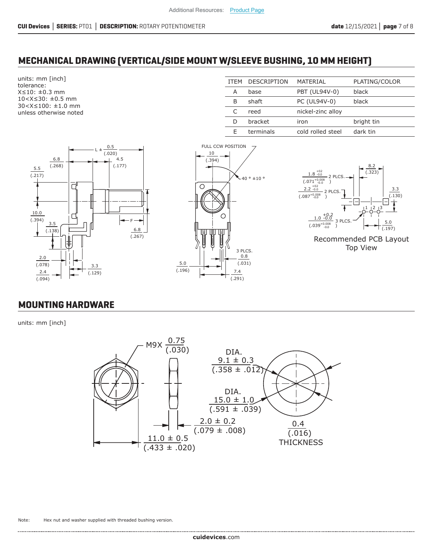#### **MECHANICAL DRAWING (VERTICAL/SIDE MOUNT W/SLEEVE BUSHING, 10 MM HEIGHT)**

units: mm [inch] tolerance: X≤10: ±0.3 mm 10<X≤30: ±0.5 mm 30<X≤100: ±1.0 mm unless otherwise noted









Recommended PCB Layout Top View

#### **MOUNTING HARDWARE**

units: mm [inch]



Note: Hex nut and washer supplied with threaded bushing version.